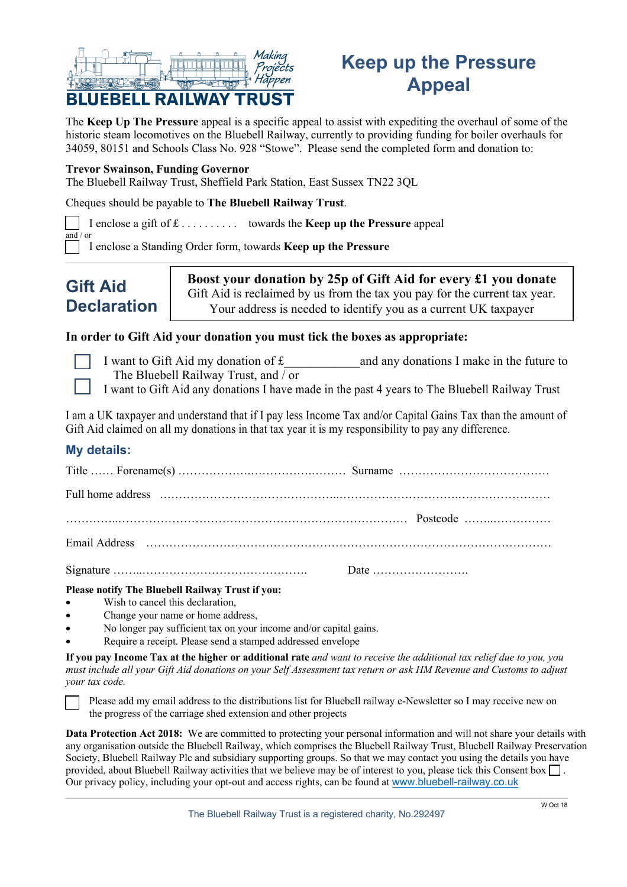

# **Keep up the Pressure Appeal**

The **Keep Up The Pressure** appeal is a specific appeal to assist with expediting the overhaul of some of the historic steam locomotives on the Bluebell Railway, currently to providing funding for boiler overhauls for 34059, 80151 and Schools Class No. 928 "Stowe". Please send the completed form and donation to:

#### **Trevor Swainson, Funding Governor**

The Bluebell Railway Trust, Sheffield Park Station, East Sussex TN22 3QL

Cheques should be payable to **The Bluebell Railway Trust**.

I enclose a gift of £ . . . . . . . . . . towards the **Keep up the Pressure** appeal  $\frac{1}{\text{and}}$  / or

I enclose a Standing Order form, towards **Keep up the Pressure**

# **Gift Aid Declaration**

**Boost your donation by 25p of Gift Aid for every £1 you donate** Gift Aid is reclaimed by us from the tax you pay for the current tax year. Your address is needed to identify you as a current UK taxpayer

### **In order to Gift Aid your donation you must tick the boxes as appropriate:**

- 
- I want to Gift Aid my donation of  $f$  and any donations I make in the future to The Bluebell Railway Trust, and / or
- I want to Gift Aid any donations I have made in the past 4 years to The Bluebell Railway Trust

I am a UK taxpayer and understand that if I pay less Income Tax and/or Capital Gains Tax than the amount of Gift Aid claimed on all my donations in that tax year it is my responsibility to pay any difference.

## **My details:**

| Full home address (a) the continuum control of the control of the control of the control of the control of the control of the control of the control of the control of the control of the control of the control of the contro |
|--------------------------------------------------------------------------------------------------------------------------------------------------------------------------------------------------------------------------------|
|                                                                                                                                                                                                                                |
|                                                                                                                                                                                                                                |
|                                                                                                                                                                                                                                |
|                                                                                                                                                                                                                                |

**Please notify The Bluebell Railway Trust if you:**

- Wish to cancel this declaration,
- Change your name or home address,
- No longer pay sufficient tax on your income and/or capital gains.
- Require a receipt. Please send a stamped addressed envelope

**If you pay Income Tax at the higher or additional rate** *and want to receive the additional tax relief due to you, you must include all your Gift Aid donations on your Self Assessment tax return or ask HM Revenue and Customs to adjust your tax code.*

Please add my email address to the distributions list for Bluebell railway e-Newsletter so I may receive new on the progress of the carriage shed extension and other projects

**Data Protection Act 2018:** We are committed to protecting your personal information and will not share your details with any organisation outside the Bluebell Railway, which comprises the Bluebell Railway Trust, Bluebell Railway Preservation Society, Bluebell Railway Plc and subsidiary supporting groups. So that we may contact you using the details you have provided, about Bluebell Railway activities that we believe may be of interest to you, please tick this Consent box  $\Box$ . Our privacy policy, including your opt-out and access rights, can be found at www.bluebell-railway.co.uk